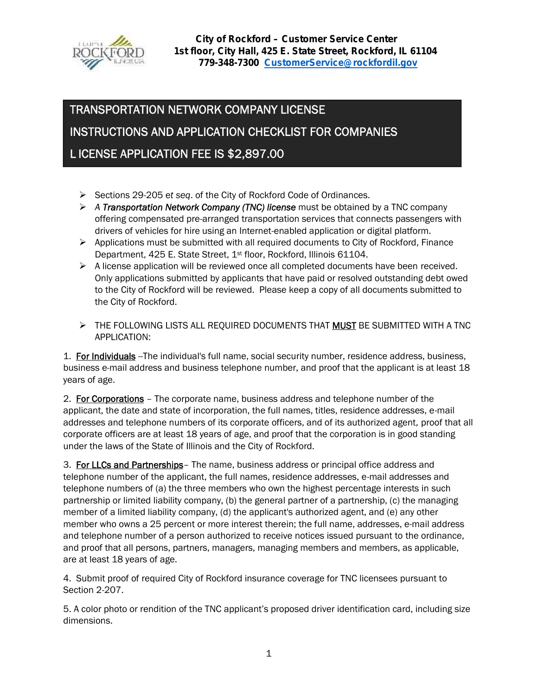

# **TRANSPORTATION NETWORK COMPANY LICENSE INSTRUCTIONS AND APPLICATION CHECKLIST FOR COMPANIES L ICENSE APPLICATION FEE IS \$2,897.00**

- Sections 29-205 e*t seq*. of the City of Rockford Code of Ordinances.
- *A Transportation Network Company (TNC) license* must be obtained by a TNC company offering compensated pre-arranged transportation services that connects passengers with drivers of vehicles for hire using an Internet-enabled application or digital platform.
- $\triangleright$  Applications must be submitted with all required documents to City of Rockford, Finance Department, 425 E. State Street, 1<sup>st</sup> floor, Rockford, Illinois 61104.
- $\triangleright$  A license application will be reviewed once all completed documents have been received. Only applications submitted by applicants that have paid or resolved outstanding debt owed to the City of Rockford will be reviewed. Please keep a copy of all documents submitted to the City of Rockford.
- THE FOLLOWING LISTS ALL REQUIRED DOCUMENTS THAT **MUST** BE SUBMITTED WITH A TNC APPLICATION:

1. **For Individuals** --The individual's full name, social security number, residence address, business, business e-mail address and business telephone number, and proof that the applicant is at least 18 years of age.

2. **For Corporations** – The corporate name, business address and telephone number of the applicant, the date and state of incorporation, the full names, titles, residence addresses, e-mail addresses and telephone numbers of its corporate officers, and of its authorized agent, proof that all corporate officers are at least 18 years of age, and proof that the corporation is in good standing under the laws of the State of Illinois and the City of Rockford.

3. **For LLCs and Partnerships**– The name, business address or principal office address and telephone number of the applicant, the full names, residence addresses, e-mail addresses and telephone numbers of (a) the three members who own the highest percentage interests in such partnership or limited liability company, (b) the general partner of a partnership, (c) the managing member of a limited liability company, (d) the applicant's authorized agent, and (e) any other member who owns a 25 percent or more interest therein; the full name, addresses, e-mail address and telephone number of a person authorized to receive notices issued pursuant to the ordinance, and proof that all persons, partners, managers, managing members and members, as applicable, are at least 18 years of age.

4. Submit proof of required City of Rockford insurance coverage for TNC licensees pursuant to Section 2-207.

5. A color photo or rendition of the TNC applicant's proposed driver identification card, including size dimensions.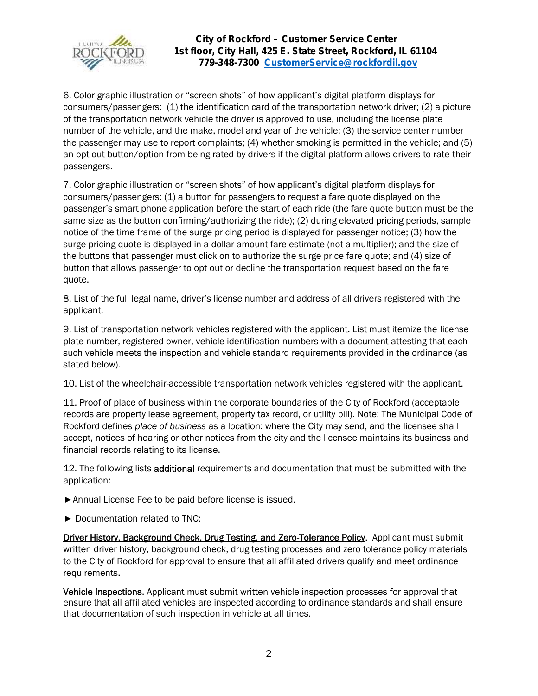

6. Color graphic illustration or "screen shots" of how applicant's digital platform displays for consumers/passengers: (1) the identification card of the transportation network driver; (2) a picture of the transportation network vehicle the driver is approved to use, including the license plate number of the vehicle, and the make, model and year of the vehicle; (3) the service center number the passenger may use to report complaints; (4) whether smoking is permitted in the vehicle; and (5) an opt-out button/option from being rated by drivers if the digital platform allows drivers to rate their passengers.

7. Color graphic illustration or "screen shots" of how applicant's digital platform displays for consumers/passengers: (1) a button for passengers to request a fare quote displayed on the passenger's smart phone application before the start of each ride (the fare quote button must be the same size as the button confirming/authorizing the ride); (2) during elevated pricing periods, sample notice of the time frame of the surge pricing period is displayed for passenger notice; (3) how the surge pricing quote is displayed in a dollar amount fare estimate (not a multiplier); and the size of the buttons that passenger must click on to authorize the surge price fare quote; and (4) size of button that allows passenger to opt out or decline the transportation request based on the fare quote.

8. List of the full legal name, driver's license number and address of all drivers registered with the applicant.

9. List of transportation network vehicles registered with the applicant. List must itemize the license plate number, registered owner, vehicle identification numbers with a document attesting that each such vehicle meets the inspection and vehicle standard requirements provided in the ordinance (as stated below).

10. List of the wheelchair-accessible transportation network vehicles registered with the applicant.

11. Proof of place of business within the corporate boundaries of the City of Rockford (acceptable records are property lease agreement, property tax record, or utility bill). Note: The Municipal Code of Rockford defines *place of business* as a location: where the City may send, and the licensee shall accept, notices of hearing or other notices from the city and the licensee maintains its business and financial records relating to its license.

12. The following lists **additional** requirements and documentation that must be submitted with the application:

Annual License Fee to be paid before license is issued.

Documentation related to TNC:

**Driver History, Background Check, Drug Testing, and Zero-Tolerance Policy**. Applicant must submit written driver history, background check, drug testing processes and zero tolerance policy materials to the City of Rockford for approval to ensure that all affiliated drivers qualify and meet ordinance requirements.

**Vehicle Inspections**. Applicant must submit written vehicle inspection processes for approval that ensure that all affiliated vehicles are inspected according to ordinance standards and shall ensure that documentation of such inspection in vehicle at all times.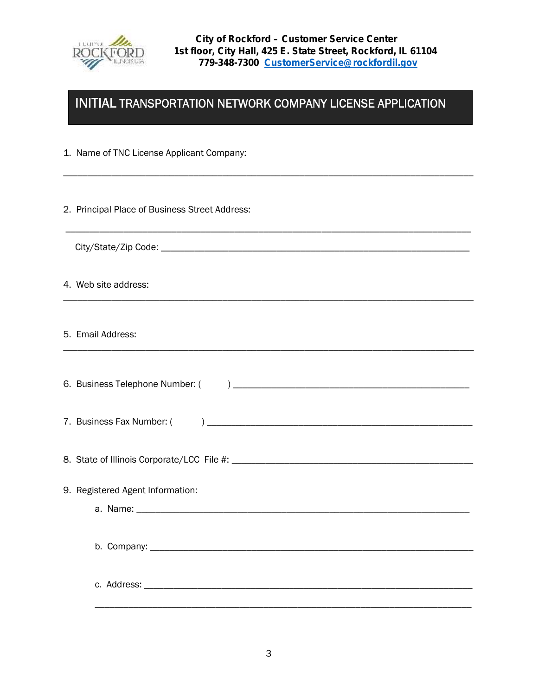

# **INITIAL TRANSPORTATION NETWORK COMPANY LICENSE APPLICATION**

\_\_\_\_\_\_\_\_\_\_\_\_\_\_\_\_\_\_\_\_\_\_\_\_\_\_\_\_\_\_\_\_\_\_\_\_\_\_\_\_\_\_\_\_\_\_\_\_\_\_\_\_\_\_\_\_\_\_\_\_\_\_\_\_\_\_\_\_\_\_\_\_\_\_\_\_\_\_\_\_\_\_\_\_\_

\_\_\_\_\_\_\_\_\_\_\_\_\_\_\_\_\_\_\_\_\_\_\_\_\_\_\_\_\_\_\_\_\_\_\_\_\_\_\_\_\_\_\_\_\_\_\_\_\_\_\_\_\_\_\_\_\_\_\_\_\_\_\_\_\_\_\_\_\_\_\_\_\_\_\_\_\_\_\_\_\_\_\_\_

\_\_\_\_\_\_\_\_\_\_\_\_\_\_\_\_\_\_\_\_\_\_\_\_\_\_\_\_\_\_\_\_\_\_\_\_\_\_\_\_\_\_\_\_\_\_\_\_\_\_\_\_\_\_\_\_\_\_\_\_\_\_\_\_\_\_\_\_\_\_\_\_\_\_\_\_\_\_\_\_\_\_\_\_\_

\_\_\_\_\_\_\_\_\_\_\_\_\_\_\_\_\_\_\_\_\_\_\_\_\_\_\_\_\_\_\_\_\_\_\_\_\_\_\_\_\_\_\_\_\_\_\_\_\_\_\_\_\_\_\_\_\_\_\_\_\_\_\_\_\_\_\_\_\_\_\_\_\_\_\_\_\_\_\_\_\_\_\_\_\_

- 1. Name of TNC License Applicant Company:
- 2. Principal Place of Business Street Address:
	- City/State/Zip Code: \_\_\_\_\_\_\_\_\_\_\_\_\_\_\_\_\_\_\_\_\_\_\_\_\_\_\_\_\_\_\_\_\_\_\_\_\_\_\_\_\_\_\_\_\_\_\_\_\_\_\_\_\_\_\_\_\_\_\_\_\_\_\_\_
- 4. Web site address:
- 5. Email Address:

| 9. Registered Agent Information: |  |
|----------------------------------|--|
|                                  |  |
|                                  |  |
|                                  |  |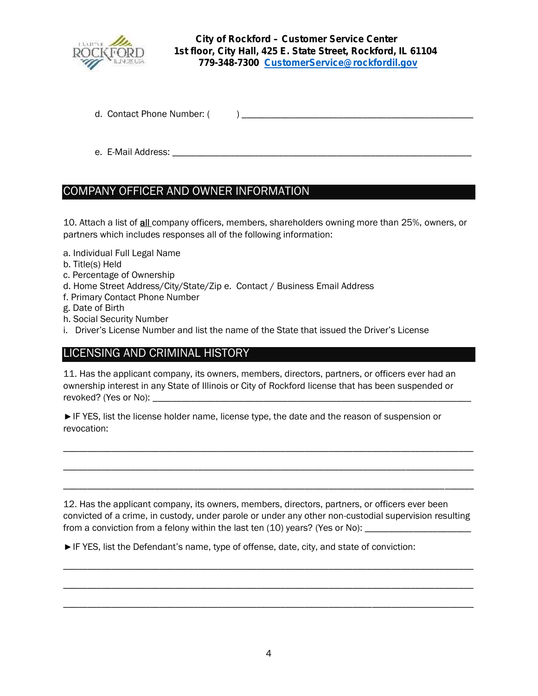

d. Contact Phone Number: ( ) \_\_\_\_\_\_\_\_\_\_\_\_\_\_\_\_\_\_\_\_\_\_\_\_\_\_\_\_\_\_\_\_\_\_\_\_\_\_\_\_\_\_\_\_\_\_\_\_

e. E-Mail Address: \_\_\_\_\_\_\_\_\_\_\_\_\_\_\_\_\_\_\_\_\_\_\_\_\_\_\_\_\_\_\_\_\_\_\_\_\_\_\_\_\_\_\_\_\_\_\_\_\_\_\_\_\_\_\_\_\_\_\_\_\_\_

## COMPANY OFFICER AND OWNER INFORMATION

10. Attach a list of **all** company officers, members, shareholders owning more than 25%, owners, or partners which includes responses all of the following information:

- a. Individual Full Legal Name
- b. Title(s) Held
- c. Percentage of Ownership
- d. Home Street Address/City/State/Zip e. Contact / Business Email Address
- f. Primary Contact Phone Number
- g. Date of Birth
- h. Social Security Number
- i. Driver's License Number and list the name of the State that issued the Driver's License

#### LICENSING AND CRIMINAL HISTORY

11. Has the applicant company, its owners, members, directors, partners, or officers ever had an ownership interest in any State of Illinois or City of Rockford license that has been suspended or revoked? (Yes or No):

IF YES, list the license holder name, license type, the date and the reason of suspension or revocation:

12. Has the applicant company, its owners, members, directors, partners, or officers ever been convicted of a crime, in custody, under parole or under any other non-custodial supervision resulting from a conviction from a felony within the last ten (10) years? (Yes or No):

\_\_\_\_\_\_\_\_\_\_\_\_\_\_\_\_\_\_\_\_\_\_\_\_\_\_\_\_\_\_\_\_\_\_\_\_\_\_\_\_\_\_\_\_\_\_\_\_\_\_\_\_\_\_\_\_\_\_\_\_\_\_\_\_\_\_\_\_\_\_\_\_\_\_\_\_\_\_\_\_\_\_\_\_\_

\_\_\_\_\_\_\_\_\_\_\_\_\_\_\_\_\_\_\_\_\_\_\_\_\_\_\_\_\_\_\_\_\_\_\_\_\_\_\_\_\_\_\_\_\_\_\_\_\_\_\_\_\_\_\_\_\_\_\_\_\_\_\_\_\_\_\_\_\_\_\_\_\_\_\_\_\_\_\_\_\_\_\_\_\_

\_\_\_\_\_\_\_\_\_\_\_\_\_\_\_\_\_\_\_\_\_\_\_\_\_\_\_\_\_\_\_\_\_\_\_\_\_\_\_\_\_\_\_\_\_\_\_\_\_\_\_\_\_\_\_\_\_\_\_\_\_\_\_\_\_\_\_\_\_\_\_\_\_\_\_\_\_\_\_\_\_\_\_\_\_

\_\_\_\_\_\_\_\_\_\_\_\_\_\_\_\_\_\_\_\_\_\_\_\_\_\_\_\_\_\_\_\_\_\_\_\_\_\_\_\_\_\_\_\_\_\_\_\_\_\_\_\_\_\_\_\_\_\_\_\_\_\_\_\_\_\_\_\_\_\_\_\_\_\_\_\_\_\_\_\_\_\_\_\_\_

\_\_\_\_\_\_\_\_\_\_\_\_\_\_\_\_\_\_\_\_\_\_\_\_\_\_\_\_\_\_\_\_\_\_\_\_\_\_\_\_\_\_\_\_\_\_\_\_\_\_\_\_\_\_\_\_\_\_\_\_\_\_\_\_\_\_\_\_\_\_\_\_\_\_\_\_\_\_\_\_\_\_\_\_\_

IF YES, list the Defendant's name, type of offense, date, city, and state of conviction:

\_\_\_\_\_\_\_\_\_\_\_\_\_\_\_\_\_\_\_\_\_\_\_\_\_\_\_\_\_\_\_\_\_\_\_\_\_\_\_\_\_\_\_\_\_\_\_\_\_\_\_\_\_\_\_\_\_\_\_\_\_\_\_\_\_\_\_\_\_\_\_\_\_\_\_\_\_\_\_\_\_\_\_\_\_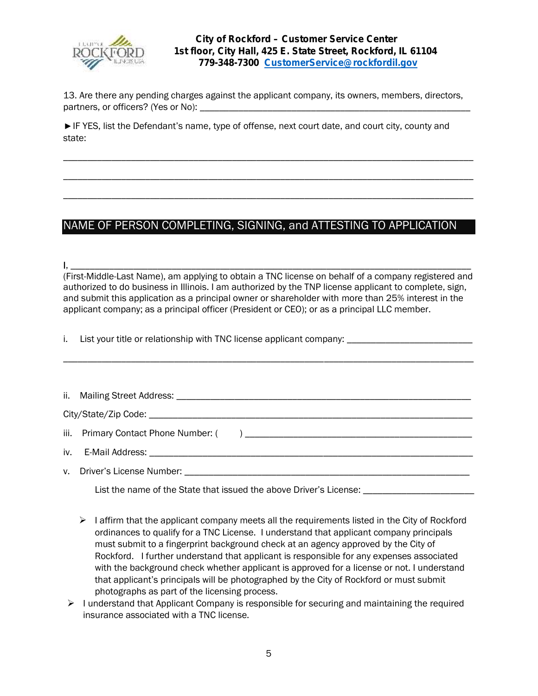

13. Are there any pending charges against the applicant company, its owners, members, directors, partners, or officers? (Yes or No):

\_\_\_\_\_\_\_\_\_\_\_\_\_\_\_\_\_\_\_\_\_\_\_\_\_\_\_\_\_\_\_\_\_\_\_\_\_\_\_\_\_\_\_\_\_\_\_\_\_\_\_\_\_\_\_\_\_\_\_\_\_\_\_\_\_\_\_\_\_\_\_\_\_\_\_\_\_\_\_\_\_\_\_\_\_

\_\_\_\_\_\_\_\_\_\_\_\_\_\_\_\_\_\_\_\_\_\_\_\_\_\_\_\_\_\_\_\_\_\_\_\_\_\_\_\_\_\_\_\_\_\_\_\_\_\_\_\_\_\_\_\_\_\_\_\_\_\_\_\_\_\_\_\_\_\_\_\_\_\_\_\_\_\_\_\_\_\_\_\_\_

\_\_\_\_\_\_\_\_\_\_\_\_\_\_\_\_\_\_\_\_\_\_\_\_\_\_\_\_\_\_\_\_\_\_\_\_\_\_\_\_\_\_\_\_\_\_\_\_\_\_\_\_\_\_\_\_\_\_\_\_\_\_\_\_\_\_\_\_\_\_\_\_\_\_\_\_\_\_\_\_\_\_\_\_\_

IF YES, list the Defendant's name, type of offense, next court date, and court city, county and state:

### NAME OF PERSON COMPLETING, SIGNING, and ATTESTING TO APPLICATION

**I**, \_\_\_\_\_\_\_\_\_\_\_\_\_\_\_\_\_\_\_\_\_\_\_\_\_\_\_\_\_\_\_\_\_\_\_\_\_\_\_\_\_\_\_\_\_\_\_\_\_\_\_\_\_\_\_\_\_\_\_\_\_\_\_\_\_\_\_\_\_\_\_\_\_\_\_\_\_\_\_\_\_\_\_ (First-Middle-Last Name), am applying to obtain a TNC license on behalf of a company registered and authorized to do business in Illinois. I am authorized by the TNP license applicant to complete, sign, and submit this application as a principal owner or shareholder with more than 25% interest in the applicant company; as a principal officer (President or CEO); or as a principal LLC member.

\_\_\_\_\_\_\_\_\_\_\_\_\_\_\_\_\_\_\_\_\_\_\_\_\_\_\_\_\_\_\_\_\_\_\_\_\_\_\_\_\_\_\_\_\_\_\_\_\_\_\_\_\_\_\_\_\_\_\_\_\_\_\_\_\_\_\_\_\_\_\_\_\_\_\_\_\_\_\_\_\_\_\_\_\_

i. List your title or relationship with TNC license applicant company:

|  | v. Driver's License Number: Department of the control of the control of the control of the control of the control of the control of the control of the control of the control of the control of the control of the control of |  |  |  |  |
|--|-------------------------------------------------------------------------------------------------------------------------------------------------------------------------------------------------------------------------------|--|--|--|--|
|  | List the name of the State that issued the above Driver's License:                                                                                                                                                            |  |  |  |  |

 $\triangleright$  I affirm that the applicant company meets all the requirements listed in the City of Rockford ordinances to qualify for a TNC License. I understand that applicant company principals must submit to a fingerprint background check at an agency approved by the City of Rockford. I further understand that applicant is responsible for any expenses associated with the background check whether applicant is approved for a license or not. I understand that applicant's principals will be photographed by the City of Rockford or must submit photographs as part of the licensing process.

 $\triangleright$  I understand that Applicant Company is responsible for securing and maintaining the required insurance associated with a TNC license.